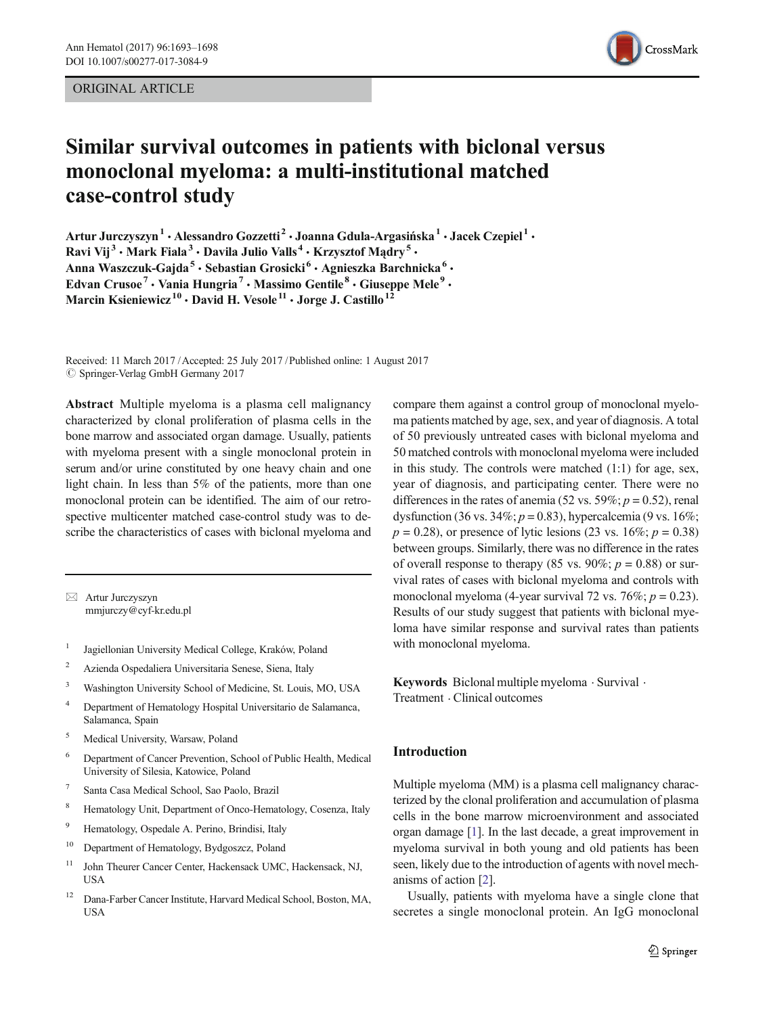ORIGINAL ARTICLE



# Similar survival outcomes in patients with biclonal versus monoclonal myeloma: a multi-institutional matched case-control study

Artur Jurczyszyn<sup>1</sup> · Alessandro Gozzetti<sup>2</sup> · Joanna Gdula-Argasińska<sup>1</sup> · Jacek Czepiel<sup>1</sup> · Ravi Vij<sup>3</sup> · Mark Fiala<sup>3</sup> · Davila Julio Valls<sup>4</sup> · Krzysztof Mądry<sup>5</sup> · Anna Waszczuk-Gajda<sup>5</sup> · Sebastian Grosicki<sup>6</sup> · Agnieszka Barchnicka<sup>6</sup> · Edvan Crusoe<sup>7</sup> · Vania Hungria<sup>7</sup> · Massimo Gentile  $8$  · Giuseppe Mele<sup>9</sup> · Marcin Ksieniewicz<sup>10</sup> · David H. Vesole<sup>11</sup> · Jorge J. Castillo<sup>1</sup>

Received: 11 March 2017 /Accepted: 25 July 2017 /Published online: 1 August 2017  $\oslash$  Springer-Verlag GmbH Germany 2017

Abstract Multiple myeloma is a plasma cell malignancy characterized by clonal proliferation of plasma cells in the bone marrow and associated organ damage. Usually, patients with myeloma present with a single monoclonal protein in serum and/or urine constituted by one heavy chain and one light chain. In less than 5% of the patients, more than one monoclonal protein can be identified. The aim of our retrospective multicenter matched case-control study was to describe the characteristics of cases with biclonal myeloma and

 $\boxtimes$  Artur Jurczyszyn [mmjurczy@cyf-kr.edu.pl](mailto:mmjurczy@cyfr.edu.pl)

- <sup>1</sup> Jagiellonian University Medical College, Kraków, Poland
- <sup>2</sup> Azienda Ospedaliera Universitaria Senese, Siena, Italy
- <sup>3</sup> Washington University School of Medicine, St. Louis, MO, USA
- <sup>4</sup> Department of Hematology Hospital Universitario de Salamanca, Salamanca, Spain
- <sup>5</sup> Medical University, Warsaw, Poland
- <sup>6</sup> Department of Cancer Prevention, School of Public Health, Medical University of Silesia, Katowice, Poland
- <sup>7</sup> Santa Casa Medical School, Sao Paolo, Brazil
- <sup>8</sup> Hematology Unit, Department of Onco-Hematology, Cosenza, Italy
- <sup>9</sup> Hematology, Ospedale A. Perino, Brindisi, Italy
- <sup>10</sup> Department of Hematology, Bydgoszcz, Poland
- <sup>11</sup> John Theurer Cancer Center, Hackensack UMC, Hackensack, NJ, **USA**
- <sup>12</sup> Dana-Farber Cancer Institute, Harvard Medical School, Boston, MA, USA

compare them against a control group of monoclonal myeloma patients matched by age, sex, and year of diagnosis. A total of 50 previously untreated cases with biclonal myeloma and 50 matched controls with monoclonal myeloma were included in this study. The controls were matched (1:1) for age, sex, year of diagnosis, and participating center. There were no differences in the rates of anemia (52 vs. 59%;  $p = 0.52$ ), renal dysfunction (36 vs. 34%;  $p = 0.83$ ), hypercalcemia (9 vs. 16%;  $p = 0.28$ ), or presence of lytic lesions (23 vs. 16%;  $p = 0.38$ ) between groups. Similarly, there was no difference in the rates of overall response to therapy (85 vs. 90%;  $p = 0.88$ ) or survival rates of cases with biclonal myeloma and controls with monoclonal myeloma (4-year survival 72 vs. 76%;  $p = 0.23$ ). Results of our study suggest that patients with biclonal myeloma have similar response and survival rates than patients with monoclonal myeloma.

Keywords Biclonal multiple myeloma . Survival . Treatment . Clinical outcomes

## Introduction

Multiple myeloma (MM) is a plasma cell malignancy characterized by the clonal proliferation and accumulation of plasma cells in the bone marrow microenvironment and associated organ damage [\[1\]](#page-4-0). In the last decade, a great improvement in myeloma survival in both young and old patients has been seen, likely due to the introduction of agents with novel mechanisms of action [[2\]](#page-4-0).

Usually, patients with myeloma have a single clone that secretes a single monoclonal protein. An IgG monoclonal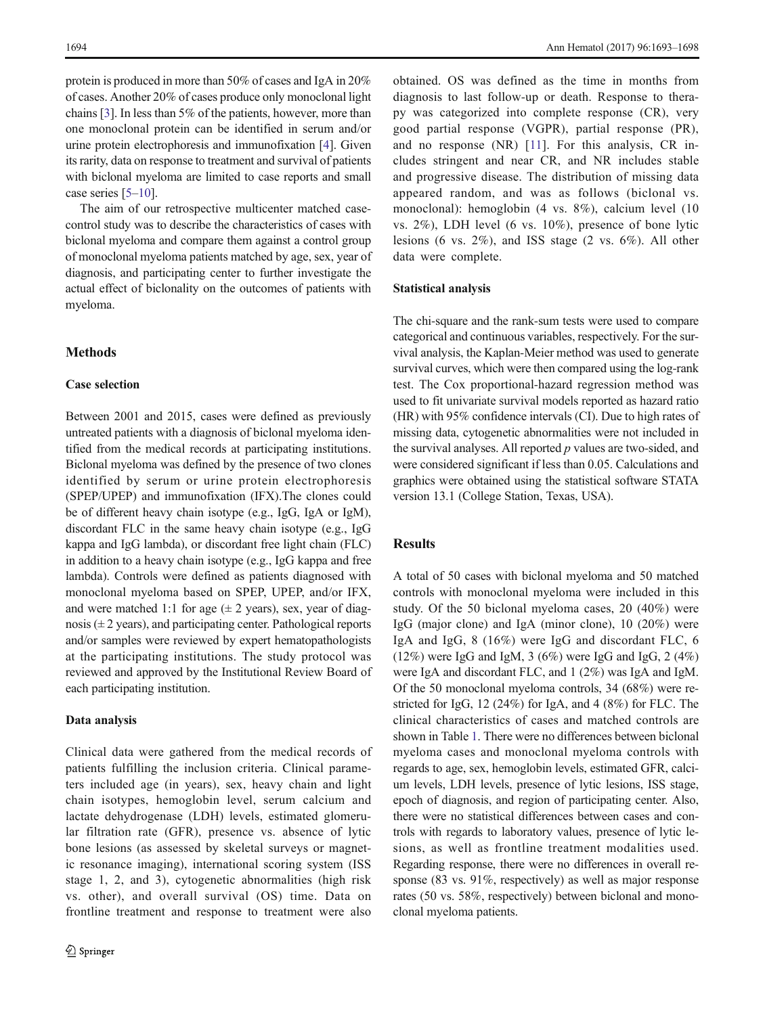protein is produced in more than 50% of cases and IgA in 20% of cases. Another 20% of cases produce only monoclonal light chains [\[3\]](#page-4-0). In less than 5% of the patients, however, more than one monoclonal protein can be identified in serum and/or urine protein electrophoresis and immunofixation [[4\]](#page-4-0). Given its rarity, data on response to treatment and survival of patients with biclonal myeloma are limited to case reports and small case series [[5](#page-4-0)–[10](#page-4-0)].

The aim of our retrospective multicenter matched casecontrol study was to describe the characteristics of cases with biclonal myeloma and compare them against a control group of monoclonal myeloma patients matched by age, sex, year of diagnosis, and participating center to further investigate the actual effect of biclonality on the outcomes of patients with myeloma.

# Methods

#### Case selection

Between 2001 and 2015, cases were defined as previously untreated patients with a diagnosis of biclonal myeloma identified from the medical records at participating institutions. Biclonal myeloma was defined by the presence of two clones identified by serum or urine protein electrophoresis (SPEP/UPEP) and immunofixation (IFX).The clones could be of different heavy chain isotype (e.g., IgG, IgA or IgM), discordant FLC in the same heavy chain isotype (e.g., IgG kappa and IgG lambda), or discordant free light chain (FLC) in addition to a heavy chain isotype (e.g., IgG kappa and free lambda). Controls were defined as patients diagnosed with monoclonal myeloma based on SPEP, UPEP, and/or IFX, and were matched 1:1 for age  $(\pm 2 \text{ years})$ , sex, year of diagnosis  $(\pm 2 \text{ years})$ , and participating center. Pathological reports and/or samples were reviewed by expert hematopathologists at the participating institutions. The study protocol was reviewed and approved by the Institutional Review Board of each participating institution.

#### Data analysis

Clinical data were gathered from the medical records of patients fulfilling the inclusion criteria. Clinical parameters included age (in years), sex, heavy chain and light chain isotypes, hemoglobin level, serum calcium and lactate dehydrogenase (LDH) levels, estimated glomerular filtration rate (GFR), presence vs. absence of lytic bone lesions (as assessed by skeletal surveys or magnetic resonance imaging), international scoring system (ISS stage 1, 2, and 3), cytogenetic abnormalities (high risk vs. other), and overall survival (OS) time. Data on frontline treatment and response to treatment were also

obtained. OS was defined as the time in months from diagnosis to last follow-up or death. Response to therapy was categorized into complete response (CR), very good partial response (VGPR), partial response (PR), and no response (NR) [\[11](#page-4-0)]. For this analysis, CR includes stringent and near CR, and NR includes stable and progressive disease. The distribution of missing data appeared random, and was as follows (biclonal vs. monoclonal): hemoglobin (4 vs. 8%), calcium level (10 vs. 2%), LDH level (6 vs. 10%), presence of bone lytic lesions (6 vs. 2%), and ISS stage (2 vs. 6%). All other data were complete.

#### Statistical analysis

The chi-square and the rank-sum tests were used to compare categorical and continuous variables, respectively. For the survival analysis, the Kaplan-Meier method was used to generate survival curves, which were then compared using the log-rank test. The Cox proportional-hazard regression method was used to fit univariate survival models reported as hazard ratio (HR) with 95% confidence intervals (CI). Due to high rates of missing data, cytogenetic abnormalities were not included in the survival analyses. All reported  $p$  values are two-sided, and were considered significant if less than 0.05. Calculations and graphics were obtained using the statistical software STATA version 13.1 (College Station, Texas, USA).

# **Results**

A total of 50 cases with biclonal myeloma and 50 matched controls with monoclonal myeloma were included in this study. Of the 50 biclonal myeloma cases, 20 (40%) were IgG (major clone) and IgA (minor clone), 10 (20%) were IgA and IgG, 8 (16%) were IgG and discordant FLC, 6 (12%) were IgG and IgM, 3 (6%) were IgG and IgG, 2 (4%) were IgA and discordant FLC, and 1 (2%) was IgA and IgM. Of the 50 monoclonal myeloma controls, 34 (68%) were restricted for IgG, 12 (24%) for IgA, and 4 (8%) for FLC. The clinical characteristics of cases and matched controls are shown in Table [1.](#page-2-0) There were no differences between biclonal myeloma cases and monoclonal myeloma controls with regards to age, sex, hemoglobin levels, estimated GFR, calcium levels, LDH levels, presence of lytic lesions, ISS stage, epoch of diagnosis, and region of participating center. Also, there were no statistical differences between cases and controls with regards to laboratory values, presence of lytic lesions, as well as frontline treatment modalities used. Regarding response, there were no differences in overall response (83 vs. 91%, respectively) as well as major response rates (50 vs. 58%, respectively) between biclonal and monoclonal myeloma patients.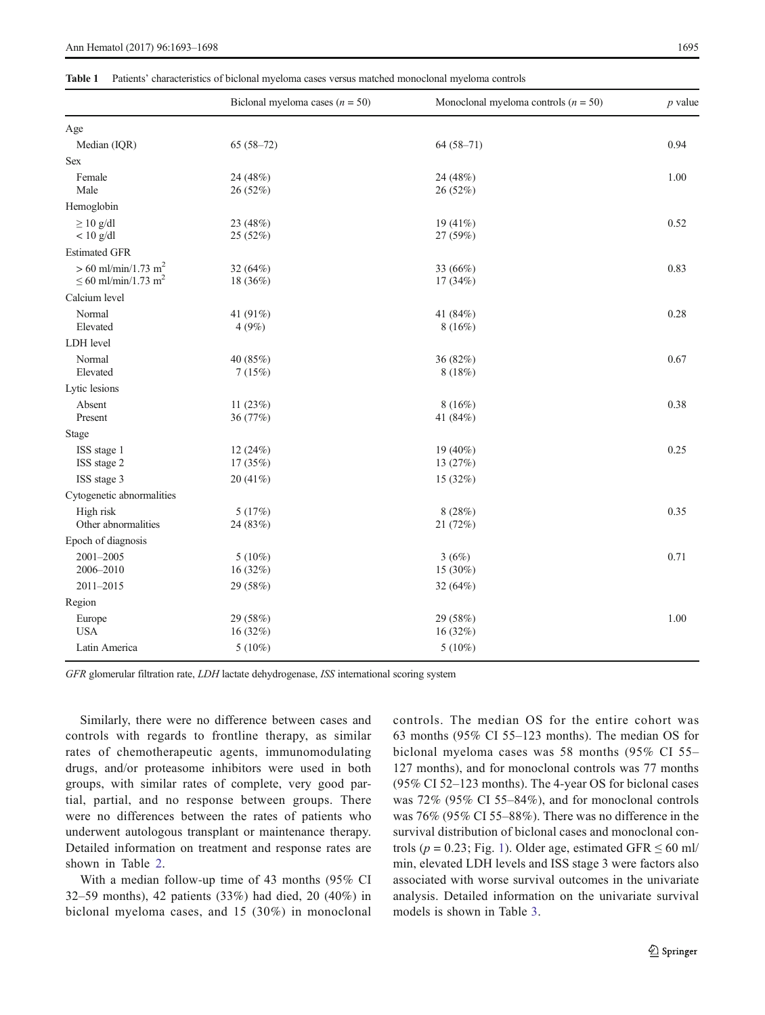#### <span id="page-2-0"></span>Table 1 Patients' characteristics of biclonal myeloma cases versus matched monoclonal myeloma controls

|                                                                           | Biclonal myeloma cases ( $n = 50$ ) | Monoclonal myeloma controls ( $n = 50$ ) | $p$ value |
|---------------------------------------------------------------------------|-------------------------------------|------------------------------------------|-----------|
| Age                                                                       |                                     |                                          |           |
| Median (IQR)                                                              | $65(58-72)$                         | $64(58-71)$                              | 0.94      |
| Sex                                                                       |                                     |                                          |           |
| Female<br>Male                                                            | 24 (48%)<br>26 (52%)                | 24 (48%)<br>26 (52%)                     | 1.00      |
| Hemoglobin                                                                |                                     |                                          |           |
| $\geq 10$ g/dl<br>$< 10$ g/dl                                             | 23 (48%)<br>25 (52%)                | 19 $(41\%)$<br>27 (59%)                  | 0.52      |
| <b>Estimated GFR</b>                                                      |                                     |                                          |           |
| $> 60$ ml/min/1.73 m <sup>2</sup><br>$\leq 60$ ml/min/1.73 m <sup>2</sup> | 32 (64%)<br>18 (36%)                | 33 (66%)<br>17 (34%)                     | 0.83      |
| Calcium level                                                             |                                     |                                          |           |
| Normal<br>Elevated                                                        | 41 (91%)<br>4(9%)                   | 41 (84%)<br>8(16%)                       | 0.28      |
| LDH level                                                                 |                                     |                                          |           |
| Normal<br>Elevated                                                        | 40 (85%)<br>7(15%)                  | 36 (82%)<br>8(18%)                       | 0.67      |
| Lytic lesions                                                             |                                     |                                          |           |
| Absent<br>Present                                                         | 11 $(23%)$<br>36 (77%)              | 8(16%)<br>41 (84%)                       | 0.38      |
| Stage                                                                     |                                     |                                          |           |
| ISS stage 1<br>ISS stage 2                                                | 12 (24%)<br>17 (35%)                | 19 (40%)<br>13 (27%)                     | 0.25      |
| ISS stage 3                                                               | 20(41%)                             | 15 (32%)                                 |           |
| Cytogenetic abnormalities                                                 |                                     |                                          |           |
| High risk<br>Other abnormalities                                          | 5(17%)<br>24 (83%)                  | 8(28%)<br>21 (72%)                       | 0.35      |
| Epoch of diagnosis                                                        |                                     |                                          |           |
| 2001-2005<br>2006-2010                                                    | $5(10\%)$<br>16(32%)                | 3(6%)<br>15 (30%)                        | 0.71      |
| 2011-2015                                                                 | 29 (58%)                            | 32 (64%)                                 |           |
| Region                                                                    |                                     |                                          |           |
| Europe<br><b>USA</b>                                                      | 29 (58%)<br>16 (32%)                | 29 (58%)<br>16 (32%)                     | 1.00      |
| Latin America                                                             | $5(10\%)$                           | $5(10\%)$                                |           |

GFR glomerular filtration rate, LDH lactate dehydrogenase, ISS international scoring system

Similarly, there were no difference between cases and controls with regards to frontline therapy, as similar rates of chemotherapeutic agents, immunomodulating drugs, and/or proteasome inhibitors were used in both groups, with similar rates of complete, very good partial, partial, and no response between groups. There were no differences between the rates of patients who underwent autologous transplant or maintenance therapy. Detailed information on treatment and response rates are shown in Table [2](#page-3-0).

With a median follow-up time of 43 months (95% CI 32–59 months), 42 patients (33%) had died, 20 (40%) in biclonal myeloma cases, and 15 (30%) in monoclonal controls. The median OS for the entire cohort was 63 months (95% CI 55–123 months). The median OS for biclonal myeloma cases was 58 months (95% CI 55– 127 months), and for monoclonal controls was 77 months (95% CI 52–123 months). The 4-year OS for biclonal cases was 72% (95% CI 55–84%), and for monoclonal controls was 76% (95% CI 55–88%). There was no difference in the survival distribution of biclonal cases and monoclonal controls ( $p = 0.23$ ; Fig. [1](#page-3-0)). Older age, estimated GFR  $\leq 60$  ml/ min, elevated LDH levels and ISS stage 3 were factors also associated with worse survival outcomes in the univariate analysis. Detailed information on the univariate survival models is shown in Table [3.](#page-3-0)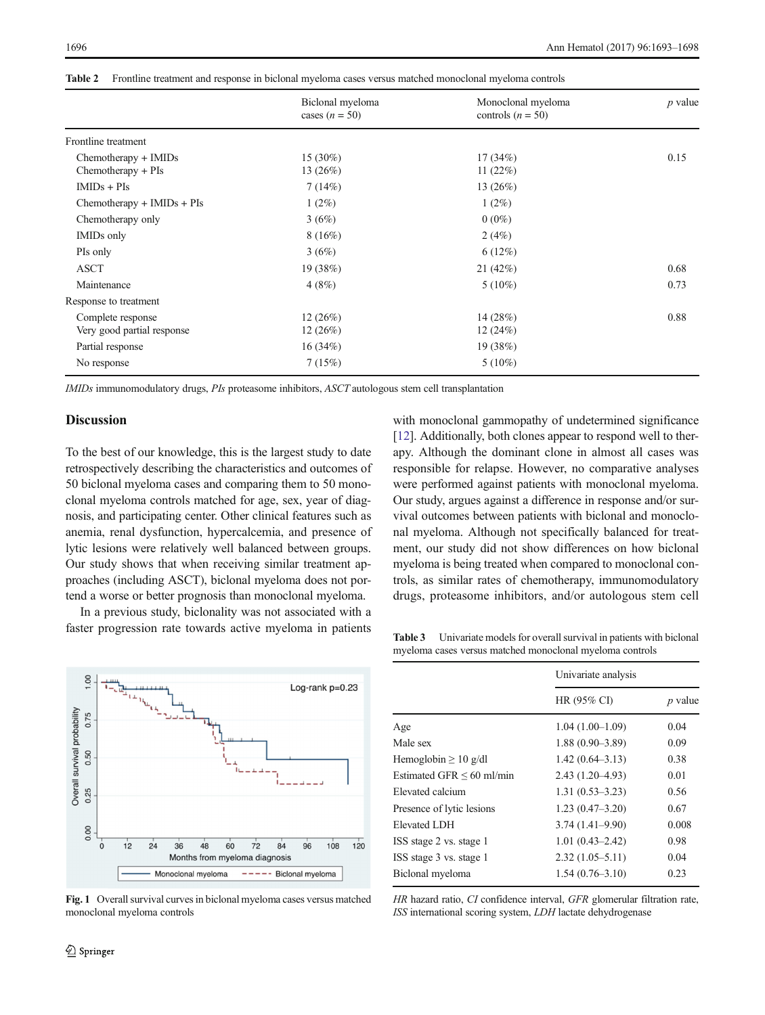<span id="page-3-0"></span>

|  |  |  |  |  | <b>Table 2</b> Frontline treatment and response in biclonal myeloma cases versus matched monoclonal myeloma controls |
|--|--|--|--|--|----------------------------------------------------------------------------------------------------------------------|
|--|--|--|--|--|----------------------------------------------------------------------------------------------------------------------|

|                                                 | Biclonal myeloma<br>cases $(n = 50)$ | Monoclonal myeloma<br>controls $(n = 50)$ | <i>p</i> value |
|-------------------------------------------------|--------------------------------------|-------------------------------------------|----------------|
| Frontline treatment                             |                                      |                                           |                |
| Chemotherapy + IMIDs<br>Chemotherapy + PIs      | 15 (30%)<br>13(26%)                  | 17(34%)<br>11 $(22%)$                     | 0.15           |
| $IMIDs + PIs$                                   | 7(14%)                               | 13 $(26%)$                                |                |
| $Chemotherapy + IMIDs + PIs$                    | $1(2\%)$                             | $1(2\%)$                                  |                |
| Chemotherapy only                               | 3(6%)                                | $0(0\%)$                                  |                |
| IMIDs only                                      | 8(16%)                               | 2(4%)                                     |                |
| PIs only                                        | 3(6%)                                | 6(12%)                                    |                |
| <b>ASCT</b>                                     | 19(38%)                              | 21(42%)                                   | 0.68           |
| Maintenance                                     | 4(8%)                                | $5(10\%)$                                 | 0.73           |
| Response to treatment                           |                                      |                                           |                |
| Complete response<br>Very good partial response | 12(26%)<br>12(26%)                   | 14 (28%)<br>12(24%)                       | 0.88           |
| Partial response                                | 16(34%)                              | 19 (38%)                                  |                |
| No response                                     | 7(15%)                               | $5(10\%)$                                 |                |

IMIDs immunomodulatory drugs, PIs proteasome inhibitors, ASCT autologous stem cell transplantation

### **Discussion**

To the best of our knowledge, this is the largest study to date retrospectively describing the characteristics and outcomes of 50 biclonal myeloma cases and comparing them to 50 monoclonal myeloma controls matched for age, sex, year of diagnosis, and participating center. Other clinical features such as anemia, renal dysfunction, hypercalcemia, and presence of lytic lesions were relatively well balanced between groups. Our study shows that when receiving similar treatment approaches (including ASCT), biclonal myeloma does not portend a worse or better prognosis than monoclonal myeloma.

In a previous study, biclonality was not associated with a faster progression rate towards active myeloma in patients



Fig. 1 Overall survival curves in biclonal myeloma cases versus matched monoclonal myeloma controls

with monoclonal gammopathy of undetermined significance [\[12](#page-4-0)]. Additionally, both clones appear to respond well to therapy. Although the dominant clone in almost all cases was responsible for relapse. However, no comparative analyses were performed against patients with monoclonal myeloma. Our study, argues against a difference in response and/or survival outcomes between patients with biclonal and monoclonal myeloma. Although not specifically balanced for treatment, our study did not show differences on how biclonal myeloma is being treated when compared to monoclonal controls, as similar rates of chemotherapy, immunomodulatory drugs, proteasome inhibitors, and/or autologous stem cell

Table 3 Univariate models for overall survival in patients with biclonal myeloma cases versus matched monoclonal myeloma controls

|                                | Univariate analysis |           |
|--------------------------------|---------------------|-----------|
|                                | HR (95% CI)         | $p$ value |
| Age                            | $1.04(1.00-1.09)$   | 0.04      |
| Male sex                       | $1.88(0.90 - 3.89)$ | 0.09      |
| Hemoglobin $\geq 10$ g/dl      | $1.42(0.64 - 3.13)$ | 0.38      |
| Estimated GFR $\leq 60$ ml/min | $2.43(1.20-4.93)$   | 0.01      |
| Elevated calcium               | $1.31(0.53 - 3.23)$ | 0.56      |
| Presence of lytic lesions      | $1.23(0.47-3.20)$   | 0.67      |
| Elevated LDH                   | $3.74(1.41 - 9.90)$ | 0.008     |
| ISS stage 2 vs. stage 1        | $1.01(0.43 - 2.42)$ | 0.98      |
| ISS stage 3 vs. stage 1        | $2.32(1.05 - 5.11)$ | 0.04      |
| Biclonal myeloma               | $1.54(0.76 - 3.10)$ | 0.23      |

HR hazard ratio, CI confidence interval, GFR glomerular filtration rate, ISS international scoring system, LDH lactate dehydrogenase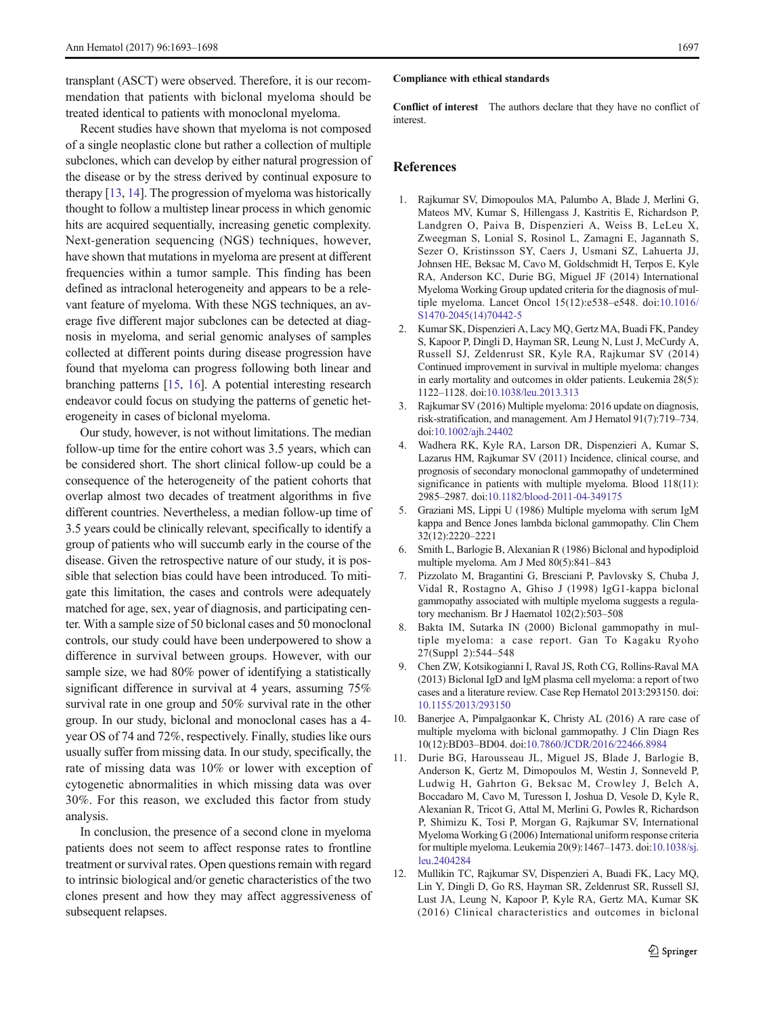<span id="page-4-0"></span>transplant (ASCT) were observed. Therefore, it is our recommendation that patients with biclonal myeloma should be treated identical to patients with monoclonal myeloma.

Recent studies have shown that myeloma is not composed of a single neoplastic clone but rather a collection of multiple subclones, which can develop by either natural progression of the disease or by the stress derived by continual exposure to therapy [\[13,](#page-5-0) [14](#page-5-0)]. The progression of myeloma was historically thought to follow a multistep linear process in which genomic hits are acquired sequentially, increasing genetic complexity. Next-generation sequencing (NGS) techniques, however, have shown that mutations in myeloma are present at different frequencies within a tumor sample. This finding has been defined as intraclonal heterogeneity and appears to be a relevant feature of myeloma. With these NGS techniques, an average five different major subclones can be detected at diagnosis in myeloma, and serial genomic analyses of samples collected at different points during disease progression have found that myeloma can progress following both linear and branching patterns [\[15](#page-5-0), [16](#page-5-0)]. A potential interesting research endeavor could focus on studying the patterns of genetic heterogeneity in cases of biclonal myeloma.

Our study, however, is not without limitations. The median follow-up time for the entire cohort was 3.5 years, which can be considered short. The short clinical follow-up could be a consequence of the heterogeneity of the patient cohorts that overlap almost two decades of treatment algorithms in five different countries. Nevertheless, a median follow-up time of 3.5 years could be clinically relevant, specifically to identify a group of patients who will succumb early in the course of the disease. Given the retrospective nature of our study, it is possible that selection bias could have been introduced. To mitigate this limitation, the cases and controls were adequately matched for age, sex, year of diagnosis, and participating center. With a sample size of 50 biclonal cases and 50 monoclonal controls, our study could have been underpowered to show a difference in survival between groups. However, with our sample size, we had 80% power of identifying a statistically significant difference in survival at 4 years, assuming 75% survival rate in one group and 50% survival rate in the other group. In our study, biclonal and monoclonal cases has a 4 year OS of 74 and 72%, respectively. Finally, studies like ours usually suffer from missing data. In our study, specifically, the rate of missing data was 10% or lower with exception of cytogenetic abnormalities in which missing data was over 30%. For this reason, we excluded this factor from study analysis.

In conclusion, the presence of a second clone in myeloma patients does not seem to affect response rates to frontline treatment or survival rates. Open questions remain with regard to intrinsic biological and/or genetic characteristics of the two clones present and how they may affect aggressiveness of subsequent relapses.

#### Compliance with ethical standards

Conflict of interest The authors declare that they have no conflict of interest.

## References

- 1. Rajkumar SV, Dimopoulos MA, Palumbo A, Blade J, Merlini G, Mateos MV, Kumar S, Hillengass J, Kastritis E, Richardson P, Landgren O, Paiva B, Dispenzieri A, Weiss B, LeLeu X, Zweegman S, Lonial S, Rosinol L, Zamagni E, Jagannath S, Sezer O, Kristinsson SY, Caers J, Usmani SZ, Lahuerta JJ, Johnsen HE, Beksac M, Cavo M, Goldschmidt H, Terpos E, Kyle RA, Anderson KC, Durie BG, Miguel JF (2014) International Myeloma Working Group updated criteria for the diagnosis of multiple myeloma. Lancet Oncol 15(12):e538–e548. doi:[10.1016/](http://dx.doi.org/10.1016/S1470-2045(14)70442-5) [S1470-2045\(14\)70442-5](http://dx.doi.org/10.1016/S1470-2045(14)70442-5)
- 2. Kumar SK, Dispenzieri A, Lacy MQ, Gertz MA, Buadi FK, Pandey S, Kapoor P, Dingli D, Hayman SR, Leung N, Lust J, McCurdy A, Russell SJ, Zeldenrust SR, Kyle RA, Rajkumar SV (2014) Continued improvement in survival in multiple myeloma: changes in early mortality and outcomes in older patients. Leukemia 28(5): 1122–1128. doi[:10.1038/leu.2013.313](http://dx.doi.org/10.1038/leu.2013.313)
- 3. Rajkumar SV (2016) Multiple myeloma: 2016 update on diagnosis, risk-stratification, and management. Am J Hematol 91(7):719–734. doi[:10.1002/ajh.24402](http://dx.doi.org/10.1002/ajh.24402)
- 4. Wadhera RK, Kyle RA, Larson DR, Dispenzieri A, Kumar S, Lazarus HM, Rajkumar SV (2011) Incidence, clinical course, and prognosis of secondary monoclonal gammopathy of undetermined significance in patients with multiple myeloma. Blood 118(11): 2985–2987. doi:[10.1182/blood-2011-04-349175](http://dx.doi.org/10.1182/blood-2011-04-349175)
- 5. Graziani MS, Lippi U (1986) Multiple myeloma with serum IgM kappa and Bence Jones lambda biclonal gammopathy. Clin Chem 32(12):2220–2221
- 6. Smith L, Barlogie B, Alexanian R (1986) Biclonal and hypodiploid multiple myeloma. Am J Med 80(5):841–843
- 7. Pizzolato M, Bragantini G, Bresciani P, Pavlovsky S, Chuba J, Vidal R, Rostagno A, Ghiso J (1998) IgG1-kappa biclonal gammopathy associated with multiple myeloma suggests a regulatory mechanism. Br J Haematol 102(2):503–508
- 8. Bakta IM, Sutarka IN (2000) Biclonal gammopathy in multiple myeloma: a case report. Gan To Kagaku Ryoho 27(Suppl 2):544–548
- 9. Chen ZW, Kotsikogianni I, Raval JS, Roth CG, Rollins-Raval MA (2013) Biclonal IgD and IgM plasma cell myeloma: a report of two cases and a literature review. Case Rep Hematol 2013:293150. doi: [10.1155/2013/293150](http://dx.doi.org/10.1155/2013/293150)
- 10. Banerjee A, Pimpalgaonkar K, Christy AL (2016) A rare case of multiple myeloma with biclonal gammopathy. J Clin Diagn Res 10(12):BD03–BD04. doi[:10.7860/JCDR/2016/22466.8984](http://dx.doi.org/10.7860/JCDR/2016/22466.8984)
- 11. Durie BG, Harousseau JL, Miguel JS, Blade J, Barlogie B, Anderson K, Gertz M, Dimopoulos M, Westin J, Sonneveld P, Ludwig H, Gahrton G, Beksac M, Crowley J, Belch A, Boccadaro M, Cavo M, Turesson I, Joshua D, Vesole D, Kyle R, Alexanian R, Tricot G, Attal M, Merlini G, Powles R, Richardson P, Shimizu K, Tosi P, Morgan G, Rajkumar SV, International Myeloma Working G (2006) International uniform response criteria for multiple myeloma. Leukemia 20(9):1467–1473. doi:[10.1038/sj.](http://dx.doi.org/10.1038/sj.leu.2404284) [leu.2404284](http://dx.doi.org/10.1038/sj.leu.2404284)
- 12. Mullikin TC, Rajkumar SV, Dispenzieri A, Buadi FK, Lacy MQ, Lin Y, Dingli D, Go RS, Hayman SR, Zeldenrust SR, Russell SJ, Lust JA, Leung N, Kapoor P, Kyle RA, Gertz MA, Kumar SK (2016) Clinical characteristics and outcomes in biclonal